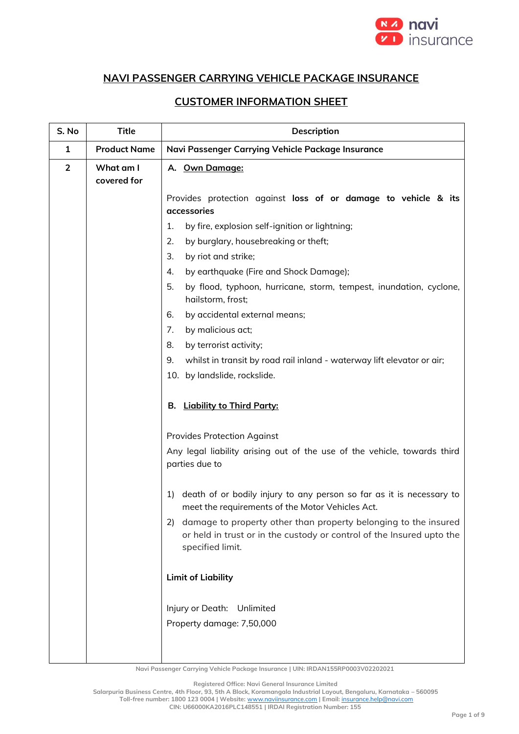

## **NAVI PASSENGER CARRYING VEHICLE PACKAGE INSURANCE**

## **CUSTOMER INFORMATION SHEET**

| S. No          | <b>Title</b>             | Description                                                                                                                                                        |  |
|----------------|--------------------------|--------------------------------------------------------------------------------------------------------------------------------------------------------------------|--|
| 1              | <b>Product Name</b>      | Navi Passenger Carrying Vehicle Package Insurance                                                                                                                  |  |
| $\overline{2}$ | What am I<br>covered for | A. Own Damage:                                                                                                                                                     |  |
|                |                          | Provides protection against loss of or damage to vehicle & its<br>accessories                                                                                      |  |
|                |                          | by fire, explosion self-ignition or lightning;<br>1.                                                                                                               |  |
|                |                          | 2.<br>by burglary, housebreaking or theft;                                                                                                                         |  |
|                |                          | by riot and strike;<br>3.                                                                                                                                          |  |
|                |                          | by earthquake (Fire and Shock Damage);<br>4.                                                                                                                       |  |
|                |                          | 5.<br>by flood, typhoon, hurricane, storm, tempest, inundation, cyclone,<br>hailstorm, frost;                                                                      |  |
|                |                          | by accidental external means;<br>6.                                                                                                                                |  |
|                |                          | 7.<br>by malicious act;                                                                                                                                            |  |
|                |                          | by terrorist activity;<br>8.                                                                                                                                       |  |
|                |                          | whilst in transit by road rail inland - waterway lift elevator or air;<br>9.                                                                                       |  |
|                |                          | by landslide, rockslide.<br>10.                                                                                                                                    |  |
|                |                          | <b>B.</b> Liability to Third Party:                                                                                                                                |  |
|                |                          | <b>Provides Protection Against</b>                                                                                                                                 |  |
|                |                          | Any legal liability arising out of the use of the vehicle, towards third<br>parties due to                                                                         |  |
|                |                          | death of or bodily injury to any person so far as it is necessary to<br>1)<br>meet the requirements of the Motor Vehicles Act.                                     |  |
|                |                          | damage to property other than property belonging to the insured<br>2)<br>or held in trust or in the custody or control of the Insured upto the<br>specified limit. |  |
|                |                          | <b>Limit of Liability</b>                                                                                                                                          |  |
|                |                          | Injury or Death: Unlimited                                                                                                                                         |  |
|                |                          | Property damage: 7,50,000                                                                                                                                          |  |
|                |                          |                                                                                                                                                                    |  |
|                |                          |                                                                                                                                                                    |  |

**Navi Passenger Carrying Vehicle Package Insurance | UIN: IRDAN155RP0003V02202021**

**Registered Office: Navi General Insurance Limited**

**Salarpuria Business Centre, 4th Floor, 93, 5th A Block, Koramangala Industrial Layout, Bengaluru, Karnataka – 560095**

**Toll-free number: 1800 123 0004 | Website:** [www.naviinsurance.com](http://www.naviinsurance.com/) **| Email:** [insurance.help@navi.com](mailto:insurance.help@navi.com)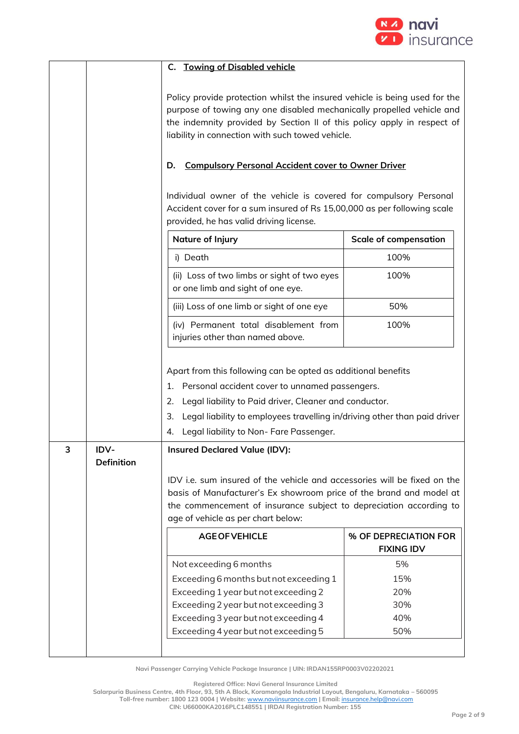

|   |                   | C. Towing of Disabled vehicle                                                                                                                                                                                                                                                                                                                         |                                            |
|---|-------------------|-------------------------------------------------------------------------------------------------------------------------------------------------------------------------------------------------------------------------------------------------------------------------------------------------------------------------------------------------------|--------------------------------------------|
|   |                   | Policy provide protection whilst the insured vehicle is being used for the<br>purpose of towing any one disabled mechanically propelled vehicle and<br>the indemnity provided by Section II of this policy apply in respect of<br>liability in connection with such towed vehicle.<br><b>Compulsory Personal Accident cover to Owner Driver</b><br>D. |                                            |
|   |                   | Individual owner of the vehicle is covered for compulsory Personal<br>Accident cover for a sum insured of Rs 15,00,000 as per following scale<br>provided, he has valid driving license.                                                                                                                                                              |                                            |
|   |                   | <b>Nature of Injury</b>                                                                                                                                                                                                                                                                                                                               | <b>Scale of compensation</b>               |
|   |                   | i) Death                                                                                                                                                                                                                                                                                                                                              | 100%                                       |
|   |                   | (ii) Loss of two limbs or sight of two eyes<br>or one limb and sight of one eye.                                                                                                                                                                                                                                                                      | 100%                                       |
|   |                   | (iii) Loss of one limb or sight of one eye                                                                                                                                                                                                                                                                                                            | 50%                                        |
|   |                   | (iv) Permanent total disablement from<br>injuries other than named above.                                                                                                                                                                                                                                                                             | 100%                                       |
|   |                   | Apart from this following can be opted as additional benefits<br>1. Personal accident cover to unnamed passengers.<br>Legal liability to Paid driver, Cleaner and conductor.<br>2.<br>Legal liability to employees travelling in/driving other than paid driver<br>3.<br>Legal liability to Non-Fare Passenger.<br>4.                                 |                                            |
| 3 | IDV-              | <b>Insured Declared Value (IDV):</b>                                                                                                                                                                                                                                                                                                                  |                                            |
|   | <b>Definition</b> | IDV i.e. sum insured of the vehicle and accessories will be fixed on the<br>basis of Manufacturer's Ex showroom price of the brand and model at<br>the commencement of insurance subject to depreciation according to<br>age of vehicle as per chart below:                                                                                           |                                            |
|   |                   | <b>AGE OF VEHICLE</b>                                                                                                                                                                                                                                                                                                                                 | % OF DEPRECIATION FOR<br><b>FIXING IDV</b> |
|   |                   | Not exceeding 6 months                                                                                                                                                                                                                                                                                                                                | 5%                                         |
|   |                   | Exceeding 6 months but not exceeding 1                                                                                                                                                                                                                                                                                                                | 15%                                        |
|   |                   | Exceeding 1 year but not exceeding 2                                                                                                                                                                                                                                                                                                                  | 20%                                        |
|   |                   | Exceeding 2 year but not exceeding 3                                                                                                                                                                                                                                                                                                                  | 30%                                        |
|   |                   | Exceeding 3 year but not exceeding 4                                                                                                                                                                                                                                                                                                                  | 40%                                        |
|   |                   | Exceeding 4 year but not exceeding 5                                                                                                                                                                                                                                                                                                                  | 50%                                        |

**Registered Office: Navi General Insurance Limited**

**Salarpuria Business Centre, 4th Floor, 93, 5th A Block, Koramangala Industrial Layout, Bengaluru, Karnataka – 560095**

**Toll-free number: 1800 123 0004 | Website:** [www.naviinsurance.com](http://www.naviinsurance.com/) **| Email:** [insurance.help@navi.com](mailto:insurance.help@navi.com)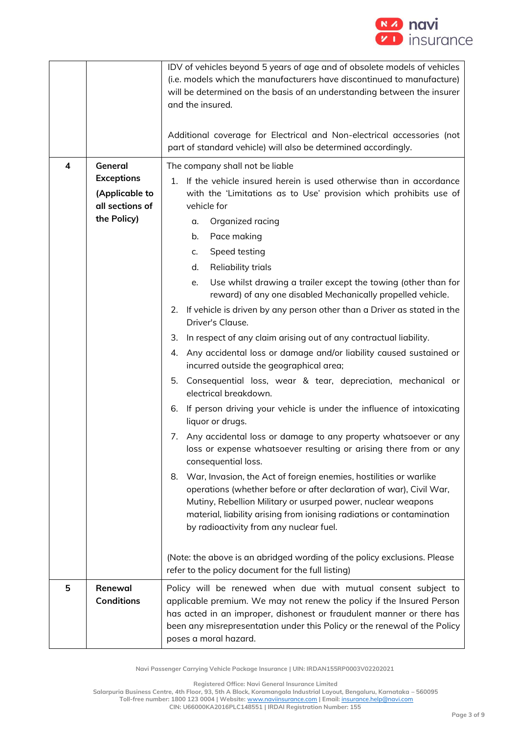

|   |                                                                                  | IDV of vehicles beyond 5 years of age and of obsolete models of vehicles<br>(i.e. models which the manufacturers have discontinued to manufacture)<br>will be determined on the basis of an understanding between the insurer<br>and the insured.<br>Additional coverage for Electrical and Non-electrical accessories (not<br>part of standard vehicle) will also be determined accordingly.                                                                                                                                                                                                                                                                                                                                                                                                                                                                                                                                                                                                                                                                                                                                                                                                                                                                                                                                                                                                                      |
|---|----------------------------------------------------------------------------------|--------------------------------------------------------------------------------------------------------------------------------------------------------------------------------------------------------------------------------------------------------------------------------------------------------------------------------------------------------------------------------------------------------------------------------------------------------------------------------------------------------------------------------------------------------------------------------------------------------------------------------------------------------------------------------------------------------------------------------------------------------------------------------------------------------------------------------------------------------------------------------------------------------------------------------------------------------------------------------------------------------------------------------------------------------------------------------------------------------------------------------------------------------------------------------------------------------------------------------------------------------------------------------------------------------------------------------------------------------------------------------------------------------------------|
| 4 | General<br><b>Exceptions</b><br>(Applicable to<br>all sections of<br>the Policy) | The company shall not be liable<br>If the vehicle insured herein is used otherwise than in accordance<br>1.<br>with the 'Limitations as to Use' provision which prohibits use of<br>vehicle for<br>Organized racing<br>α.<br>Pace making<br>b.<br>Speed testing<br>c.<br><b>Reliability trials</b><br>d.<br>Use whilst drawing a trailer except the towing (other than for<br>e.<br>reward) of any one disabled Mechanically propelled vehicle.<br>If vehicle is driven by any person other than a Driver as stated in the<br>2.<br>Driver's Clause.<br>In respect of any claim arising out of any contractual liability.<br>3.<br>4. Any accidental loss or damage and/or liability caused sustained or<br>incurred outside the geographical area;<br>5. Consequential loss, wear & tear, depreciation, mechanical or<br>electrical breakdown.<br>If person driving your vehicle is under the influence of intoxicating<br>6.<br>liquor or drugs.<br>Any accidental loss or damage to any property whatsoever or any<br>7.<br>loss or expense whatsoever resulting or arising there from or any<br>consequential loss.<br>War, Invasion, the Act of foreign enemies, hostilities or warlike<br>8.<br>operations (whether before or after declaration of war), Civil War,<br>Mutiny, Rebellion Military or usurped power, nuclear weapons<br>material, liability arising from ionising radiations or contamination |
|   |                                                                                  | by radioactivity from any nuclear fuel.<br>(Note: the above is an abridged wording of the policy exclusions. Please<br>refer to the policy document for the full listing)                                                                                                                                                                                                                                                                                                                                                                                                                                                                                                                                                                                                                                                                                                                                                                                                                                                                                                                                                                                                                                                                                                                                                                                                                                          |
| 5 | Renewal<br><b>Conditions</b>                                                     | Policy will be renewed when due with mutual consent subject to<br>applicable premium. We may not renew the policy if the Insured Person<br>has acted in an improper, dishonest or fraudulent manner or there has<br>been any misrepresentation under this Policy or the renewal of the Policy<br>poses a moral hazard.                                                                                                                                                                                                                                                                                                                                                                                                                                                                                                                                                                                                                                                                                                                                                                                                                                                                                                                                                                                                                                                                                             |

**Registered Office: Navi General Insurance Limited**

**Salarpuria Business Centre, 4th Floor, 93, 5th A Block, Koramangala Industrial Layout, Bengaluru, Karnataka – 560095**

**Toll-free number: 1800 123 0004 | Website:** [www.naviinsurance.com](http://www.naviinsurance.com/) **| Email:** [insurance.help@navi.com](mailto:insurance.help@navi.com)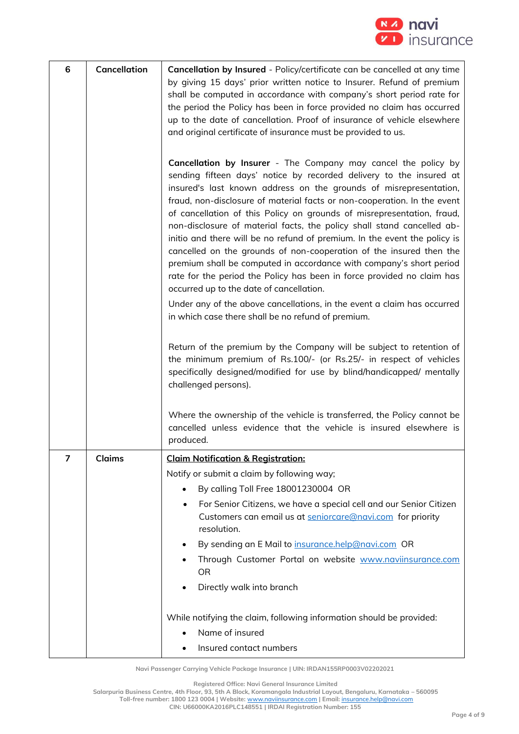

| 6              | <b>Cancellation</b> | Cancellation by Insured - Policy/certificate can be cancelled at any time<br>by giving 15 days' prior written notice to Insurer. Refund of premium<br>shall be computed in accordance with company's short period rate for<br>the period the Policy has been in force provided no claim has occurred<br>up to the date of cancellation. Proof of insurance of vehicle elsewhere<br>and original certificate of insurance must be provided to us.                                                                                                                                                                                                                                                                                                                                            |
|----------------|---------------------|---------------------------------------------------------------------------------------------------------------------------------------------------------------------------------------------------------------------------------------------------------------------------------------------------------------------------------------------------------------------------------------------------------------------------------------------------------------------------------------------------------------------------------------------------------------------------------------------------------------------------------------------------------------------------------------------------------------------------------------------------------------------------------------------|
|                |                     | Cancellation by Insurer - The Company may cancel the policy by<br>sending fifteen days' notice by recorded delivery to the insured at<br>insured's last known address on the grounds of misrepresentation,<br>fraud, non-disclosure of material facts or non-cooperation. In the event<br>of cancellation of this Policy on grounds of misrepresentation, fraud,<br>non-disclosure of material facts, the policy shall stand cancelled ab-<br>initio and there will be no refund of premium. In the event the policy is<br>cancelled on the grounds of non-cooperation of the insured then the<br>premium shall be computed in accordance with company's short period<br>rate for the period the Policy has been in force provided no claim has<br>occurred up to the date of cancellation. |
|                |                     | Under any of the above cancellations, in the event a claim has occurred<br>in which case there shall be no refund of premium.                                                                                                                                                                                                                                                                                                                                                                                                                                                                                                                                                                                                                                                               |
|                |                     | Return of the premium by the Company will be subject to retention of<br>the minimum premium of Rs.100/- (or Rs.25/- in respect of vehicles<br>specifically designed/modified for use by blind/handicapped/ mentally<br>challenged persons).                                                                                                                                                                                                                                                                                                                                                                                                                                                                                                                                                 |
|                |                     | Where the ownership of the vehicle is transferred, the Policy cannot be<br>cancelled unless evidence that the vehicle is insured elsewhere is<br>produced.                                                                                                                                                                                                                                                                                                                                                                                                                                                                                                                                                                                                                                  |
| $\overline{7}$ | <b>Claims</b>       | <b>Claim Notification &amp; Registration:</b>                                                                                                                                                                                                                                                                                                                                                                                                                                                                                                                                                                                                                                                                                                                                               |
|                |                     | Notify or submit a claim by following way;                                                                                                                                                                                                                                                                                                                                                                                                                                                                                                                                                                                                                                                                                                                                                  |
|                |                     | By calling Toll Free 18001230004 OR<br>$\bullet$                                                                                                                                                                                                                                                                                                                                                                                                                                                                                                                                                                                                                                                                                                                                            |
|                |                     | For Senior Citizens, we have a special cell and our Senior Citizen<br>$\bullet$<br>Customers can email us at seniorcare@navi.com for priority<br>resolution.                                                                                                                                                                                                                                                                                                                                                                                                                                                                                                                                                                                                                                |
|                |                     | By sending an E Mail to insurance.help@navi.com OR<br>$\bullet$                                                                                                                                                                                                                                                                                                                                                                                                                                                                                                                                                                                                                                                                                                                             |
|                |                     | Through Customer Portal on website www.naviinsurance.com<br>$\bullet$<br><b>OR</b>                                                                                                                                                                                                                                                                                                                                                                                                                                                                                                                                                                                                                                                                                                          |
|                |                     | Directly walk into branch                                                                                                                                                                                                                                                                                                                                                                                                                                                                                                                                                                                                                                                                                                                                                                   |
|                |                     | While notifying the claim, following information should be provided:                                                                                                                                                                                                                                                                                                                                                                                                                                                                                                                                                                                                                                                                                                                        |
|                |                     | Name of insured<br>$\bullet$                                                                                                                                                                                                                                                                                                                                                                                                                                                                                                                                                                                                                                                                                                                                                                |
|                |                     | Insured contact numbers                                                                                                                                                                                                                                                                                                                                                                                                                                                                                                                                                                                                                                                                                                                                                                     |

**Registered Office: Navi General Insurance Limited**

**Salarpuria Business Centre, 4th Floor, 93, 5th A Block, Koramangala Industrial Layout, Bengaluru, Karnataka – 560095**

**Toll-free number: 1800 123 0004 | Website:** [www.naviinsurance.com](http://www.naviinsurance.com/) **| Email:** [insurance.help@navi.com](mailto:insurance.help@navi.com)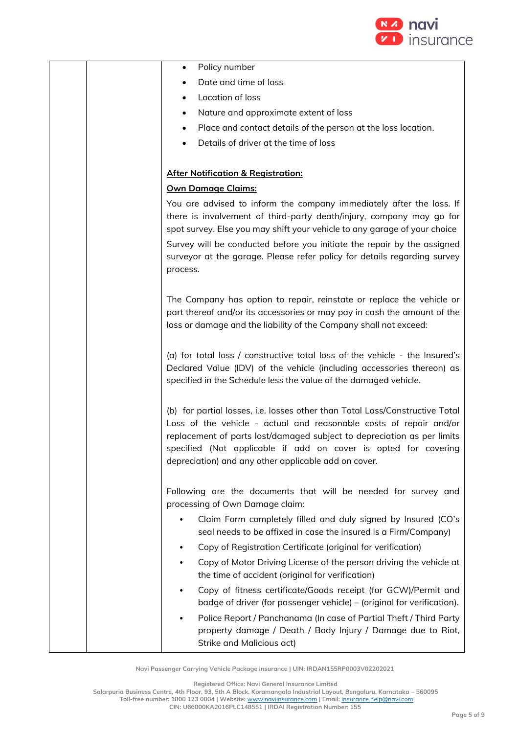

|  | Policy number<br>$\bullet$                                                                                                                                                                                                                                                                                                                               |
|--|----------------------------------------------------------------------------------------------------------------------------------------------------------------------------------------------------------------------------------------------------------------------------------------------------------------------------------------------------------|
|  | Date and time of loss                                                                                                                                                                                                                                                                                                                                    |
|  | Location of loss                                                                                                                                                                                                                                                                                                                                         |
|  | Nature and approximate extent of loss<br>$\bullet$                                                                                                                                                                                                                                                                                                       |
|  | Place and contact details of the person at the loss location.<br>$\bullet$                                                                                                                                                                                                                                                                               |
|  | Details of driver at the time of loss                                                                                                                                                                                                                                                                                                                    |
|  |                                                                                                                                                                                                                                                                                                                                                          |
|  | <b>After Notification &amp; Registration:</b>                                                                                                                                                                                                                                                                                                            |
|  | <b>Own Damage Claims:</b>                                                                                                                                                                                                                                                                                                                                |
|  | You are advised to inform the company immediately after the loss. If<br>there is involvement of third-party death/injury, company may go for<br>spot survey. Else you may shift your vehicle to any garage of your choice                                                                                                                                |
|  | Survey will be conducted before you initiate the repair by the assigned<br>surveyor at the garage. Please refer policy for details regarding survey<br>process.                                                                                                                                                                                          |
|  | The Company has option to repair, reinstate or replace the vehicle or<br>part thereof and/or its accessories or may pay in cash the amount of the<br>loss or damage and the liability of the Company shall not exceed:                                                                                                                                   |
|  | (a) for total loss / constructive total loss of the vehicle - the Insured's<br>Declared Value (IDV) of the vehicle (including accessories thereon) as<br>specified in the Schedule less the value of the damaged vehicle.                                                                                                                                |
|  | (b) for partial losses, i.e. losses other than Total Loss/Constructive Total<br>Loss of the vehicle - actual and reasonable costs of repair and/or<br>replacement of parts lost/damaged subject to depreciation as per limits<br>specified (Not applicable if add on cover is opted for covering<br>depreciation) and any other applicable add on cover. |
|  | Following are the documents that will be needed for survey and<br>processing of Own Damage claim:                                                                                                                                                                                                                                                        |
|  | Claim Form completely filled and duly signed by Insured (CO's<br>$\bullet$<br>seal needs to be affixed in case the insured is a Firm/Company)                                                                                                                                                                                                            |
|  | Copy of Registration Certificate (original for verification)                                                                                                                                                                                                                                                                                             |
|  | Copy of Motor Driving License of the person driving the vehicle at<br>$\bullet$<br>the time of accident (original for verification)                                                                                                                                                                                                                      |
|  | Copy of fitness certificate/Goods receipt (for GCW)/Permit and<br>badge of driver (for passenger vehicle) – (original for verification).                                                                                                                                                                                                                 |
|  | Police Report / Panchanama (In case of Partial Theft / Third Party<br>property damage / Death / Body Injury / Damage due to Riot,<br>Strike and Malicious act)                                                                                                                                                                                           |

**Registered Office: Navi General Insurance Limited**

**Salarpuria Business Centre, 4th Floor, 93, 5th A Block, Koramangala Industrial Layout, Bengaluru, Karnataka – 560095**

**Toll-free number: 1800 123 0004 | Website:** [www.naviinsurance.com](http://www.naviinsurance.com/) **| Email:** [insurance.help@navi.com](mailto:insurance.help@navi.com)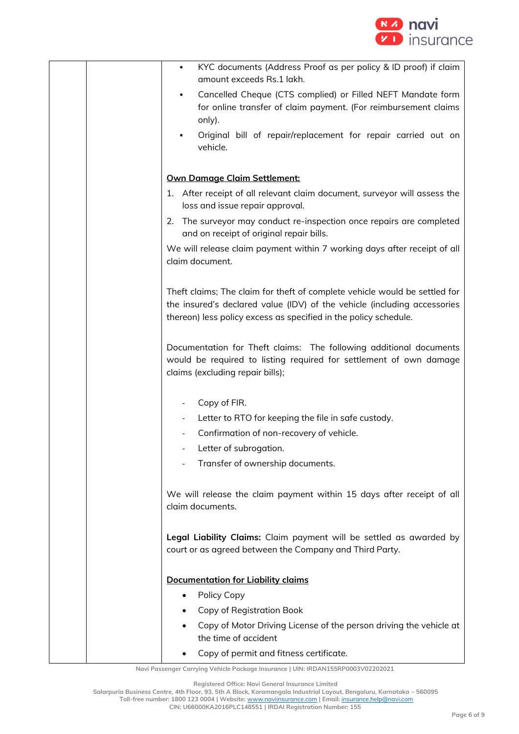

| KYC documents (Address Proof as per policy & ID proof) if claim<br>$\bullet$<br>amount exceeds Rs.1 lakh.                                                                                                                  |
|----------------------------------------------------------------------------------------------------------------------------------------------------------------------------------------------------------------------------|
| Cancelled Cheque (CTS complied) or Filled NEFT Mandate form<br>for online transfer of claim payment. (For reimbursement claims<br>only).                                                                                   |
| Original bill of repair/replacement for repair carried out on<br>vehicle.                                                                                                                                                  |
| <b>Own Damage Claim Settlement:</b>                                                                                                                                                                                        |
| 1. After receipt of all relevant claim document, surveyor will assess the<br>loss and issue repair approval.                                                                                                               |
| 2. The surveyor may conduct re-inspection once repairs are completed<br>and on receipt of original repair bills.                                                                                                           |
| We will release claim payment within 7 working days after receipt of all<br>claim document.                                                                                                                                |
| Theft claims; The claim for theft of complete vehicle would be settled for<br>the insured's declared value (IDV) of the vehicle (including accessories<br>thereon) less policy excess as specified in the policy schedule. |
| Documentation for Theft claims: The following additional documents<br>would be required to listing required for settlement of own damage<br>claims (excluding repair bills);                                               |
| Copy of FIR.                                                                                                                                                                                                               |
| Letter to RTO for keeping the file in safe custody.                                                                                                                                                                        |
| Confirmation of non-recovery of vehicle.<br>$\overline{\phantom{a}}$                                                                                                                                                       |
| Letter of subrogation.                                                                                                                                                                                                     |
| Transfer of ownership documents.                                                                                                                                                                                           |
| We will release the claim payment within 15 days after receipt of all<br>claim documents.                                                                                                                                  |
| Legal Liability Claims: Claim payment will be settled as awarded by<br>court or as agreed between the Company and Third Party.                                                                                             |
| <b>Documentation for Liability claims</b>                                                                                                                                                                                  |
| Policy Copy<br>$\bullet$                                                                                                                                                                                                   |
| Copy of Registration Book                                                                                                                                                                                                  |
| Copy of Motor Driving License of the person driving the vehicle at<br>the time of accident                                                                                                                                 |
| Copy of permit and fitness certificate.                                                                                                                                                                                    |

**Registered Office: Navi General Insurance Limited**

**Salarpuria Business Centre, 4th Floor, 93, 5th A Block, Koramangala Industrial Layout, Bengaluru, Karnataka – 560095**

**Toll-free number: 1800 123 0004 | Website:** [www.naviinsurance.com](http://www.naviinsurance.com/) **| Email:** [insurance.help@navi.com](mailto:insurance.help@navi.com)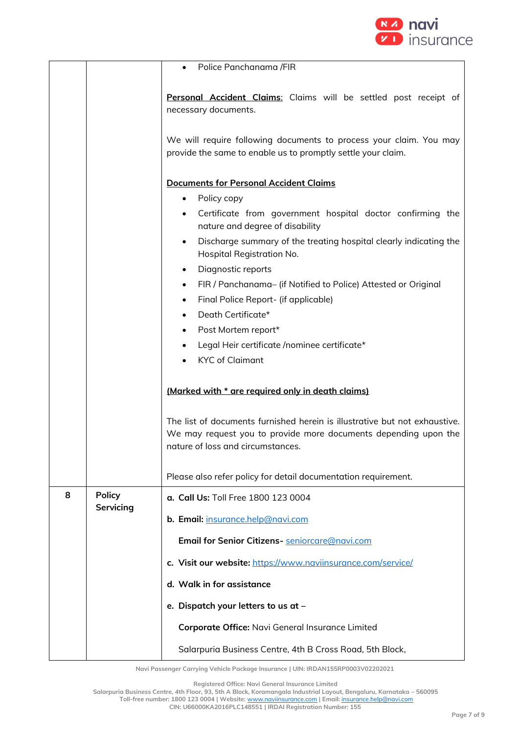

|   |                            | Police Panchanama /FIR                                                                                                                                                             |
|---|----------------------------|------------------------------------------------------------------------------------------------------------------------------------------------------------------------------------|
|   |                            | Personal Accident Claims: Claims will be settled post receipt of<br>necessary documents.                                                                                           |
|   |                            | We will require following documents to process your claim. You may<br>provide the same to enable us to promptly settle your claim.                                                 |
|   |                            | <b>Documents for Personal Accident Claims</b>                                                                                                                                      |
|   |                            | Policy copy<br>$\bullet$                                                                                                                                                           |
|   |                            | Certificate from government hospital doctor confirming the<br>nature and degree of disability                                                                                      |
|   |                            | Discharge summary of the treating hospital clearly indicating the<br>Hospital Registration No.                                                                                     |
|   |                            | Diagnostic reports<br>$\bullet$                                                                                                                                                    |
|   |                            | FIR / Panchanama- (if Notified to Police) Attested or Original<br>$\bullet$                                                                                                        |
|   |                            | Final Police Report- (if applicable)<br>$\bullet$                                                                                                                                  |
|   |                            | Death Certificate*<br>$\bullet$                                                                                                                                                    |
|   |                            | Post Mortem report*<br>$\bullet$                                                                                                                                                   |
|   |                            | Legal Heir certificate /nominee certificate*                                                                                                                                       |
|   |                            | <b>KYC</b> of Claimant                                                                                                                                                             |
|   |                            | (Marked with * are required only in death claims)                                                                                                                                  |
|   |                            | The list of documents furnished herein is illustrative but not exhaustive.<br>We may request you to provide more documents depending upon the<br>nature of loss and circumstances. |
|   |                            | Please also refer policy for detail documentation requirement.                                                                                                                     |
| 8 | <b>Policy</b><br>Servicing | a. Call Us: Toll Free 1800 123 0004                                                                                                                                                |
|   |                            | b. Email: insurance.help@navi.com                                                                                                                                                  |
|   |                            | Email for Senior Citizens- seniorcare@navi.com                                                                                                                                     |
|   |                            | c. Visit our website: https://www.naviinsurance.com/service/                                                                                                                       |
|   |                            | d. Walk in for assistance                                                                                                                                                          |
|   |                            | e. Dispatch your letters to us at -                                                                                                                                                |
|   |                            | Corporate Office: Navi General Insurance Limited                                                                                                                                   |
|   |                            | Salarpuria Business Centre, 4th B Cross Road, 5th Block,                                                                                                                           |

**Registered Office: Navi General Insurance Limited**

**Salarpuria Business Centre, 4th Floor, 93, 5th A Block, Koramangala Industrial Layout, Bengaluru, Karnataka – 560095**

**Toll-free number: 1800 123 0004 | Website:** [www.naviinsurance.com](http://www.naviinsurance.com/) **| Email:** [insurance.help@navi.com](mailto:insurance.help@navi.com)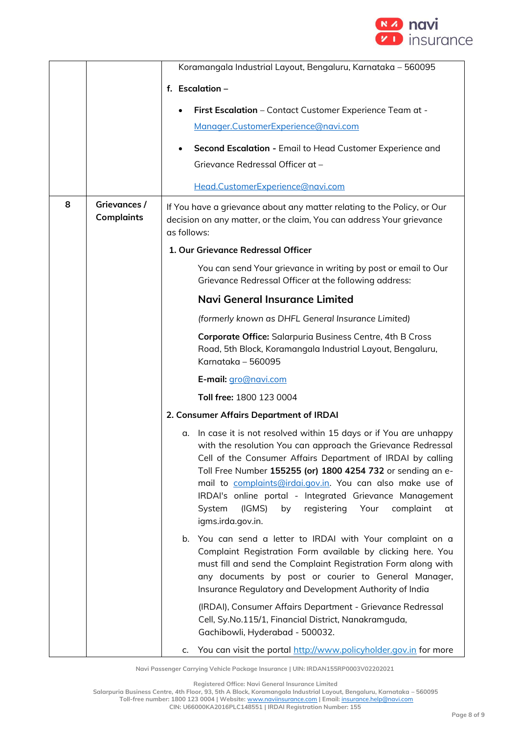

|   |                                   | Koramangala Industrial Layout, Bengaluru, Karnataka - 560095                                                                                                                                                                                                                                                                                                                                                                                                                         |  |
|---|-----------------------------------|--------------------------------------------------------------------------------------------------------------------------------------------------------------------------------------------------------------------------------------------------------------------------------------------------------------------------------------------------------------------------------------------------------------------------------------------------------------------------------------|--|
|   |                                   | f. Escalation $-$                                                                                                                                                                                                                                                                                                                                                                                                                                                                    |  |
|   |                                   | First Escalation - Contact Customer Experience Team at -<br>$\bullet$                                                                                                                                                                                                                                                                                                                                                                                                                |  |
|   |                                   | Manager.CustomerExperience@navi.com                                                                                                                                                                                                                                                                                                                                                                                                                                                  |  |
|   |                                   | Second Escalation - Email to Head Customer Experience and                                                                                                                                                                                                                                                                                                                                                                                                                            |  |
|   |                                   | Grievance Redressal Officer at -                                                                                                                                                                                                                                                                                                                                                                                                                                                     |  |
|   |                                   | Head.CustomerExperience@navi.com                                                                                                                                                                                                                                                                                                                                                                                                                                                     |  |
| 8 | Grievances /<br><b>Complaints</b> | If You have a grievance about any matter relating to the Policy, or Our<br>decision on any matter, or the claim, You can address Your grievance<br>as follows:                                                                                                                                                                                                                                                                                                                       |  |
|   |                                   | 1. Our Grievance Redressal Officer                                                                                                                                                                                                                                                                                                                                                                                                                                                   |  |
|   |                                   | You can send Your grievance in writing by post or email to Our<br>Grievance Redressal Officer at the following address:                                                                                                                                                                                                                                                                                                                                                              |  |
|   |                                   | <b>Navi General Insurance Limited</b>                                                                                                                                                                                                                                                                                                                                                                                                                                                |  |
|   |                                   | (formerly known as DHFL General Insurance Limited)                                                                                                                                                                                                                                                                                                                                                                                                                                   |  |
|   |                                   | Corporate Office: Salarpuria Business Centre, 4th B Cross<br>Road, 5th Block, Koramangala Industrial Layout, Bengaluru,<br>Karnataka - 560095                                                                                                                                                                                                                                                                                                                                        |  |
|   |                                   | E-mail: gro@navi.com                                                                                                                                                                                                                                                                                                                                                                                                                                                                 |  |
|   |                                   | Toll free: 1800 123 0004                                                                                                                                                                                                                                                                                                                                                                                                                                                             |  |
|   |                                   | 2. Consumer Affairs Department of IRDAI                                                                                                                                                                                                                                                                                                                                                                                                                                              |  |
|   |                                   | In case it is not resolved within 15 days or if You are unhappy<br>а.<br>with the resolution You can approach the Grievance Redressal<br>Cell of the Consumer Affairs Department of IRDAI by calling<br>Toll Free Number 155255 (or) 1800 4254 732 or sending an e-<br>mail to complaints@irdai.gov.in. You can also make use of<br>IRDAI's online portal - Integrated Grievance Management<br>(IGMS)<br>registering<br>Your<br>System<br>by<br>complaint<br>at<br>igms.irda.gov.in. |  |
|   |                                   | You can send a letter to IRDAI with Your complaint on a<br>b.<br>Complaint Registration Form available by clicking here. You<br>must fill and send the Complaint Registration Form along with<br>any documents by post or courier to General Manager,<br>Insurance Regulatory and Development Authority of India                                                                                                                                                                     |  |
|   |                                   | (IRDAI), Consumer Affairs Department - Grievance Redressal<br>Cell, Sy.No.115/1, Financial District, Nanakramguda,<br>Gachibowli, Hyderabad - 500032.                                                                                                                                                                                                                                                                                                                                |  |
|   |                                   | You can visit the portal http://www.policyholder.gov.in for more<br>c.                                                                                                                                                                                                                                                                                                                                                                                                               |  |

**Registered Office: Navi General Insurance Limited**

**Salarpuria Business Centre, 4th Floor, 93, 5th A Block, Koramangala Industrial Layout, Bengaluru, Karnataka – 560095**

**Toll-free number: 1800 123 0004 | Website:** [www.naviinsurance.com](http://www.naviinsurance.com/) **| Email:** [insurance.help@navi.com](mailto:insurance.help@navi.com)